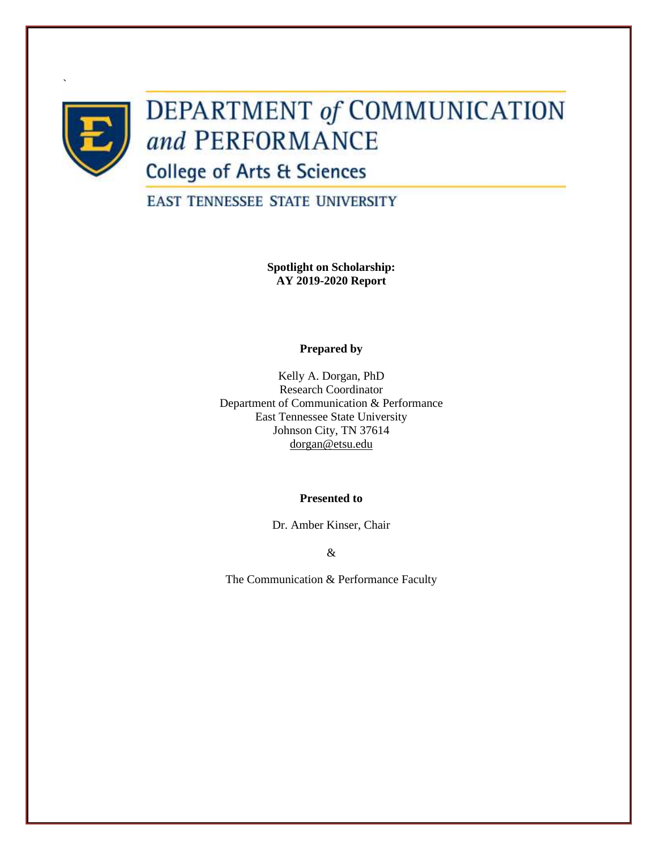

`

# DEPARTMENT of COMMUNICATION and PERFORMANCE

**College of Arts & Sciences** 

**EAST TENNESSEE STATE UNIVERSITY** 

**Spotlight on Scholarship: AY 2019-2020 Report**

**Prepared by**

Kelly A. Dorgan, PhD Research Coordinator Department of Communication & Performance East Tennessee State University Johnson City, TN 37614 [dorgan@etsu.edu](mailto:dorgan@etsu.edu)

# **Presented to**

Dr. Amber Kinser, Chair

&

The Communication & Performance Faculty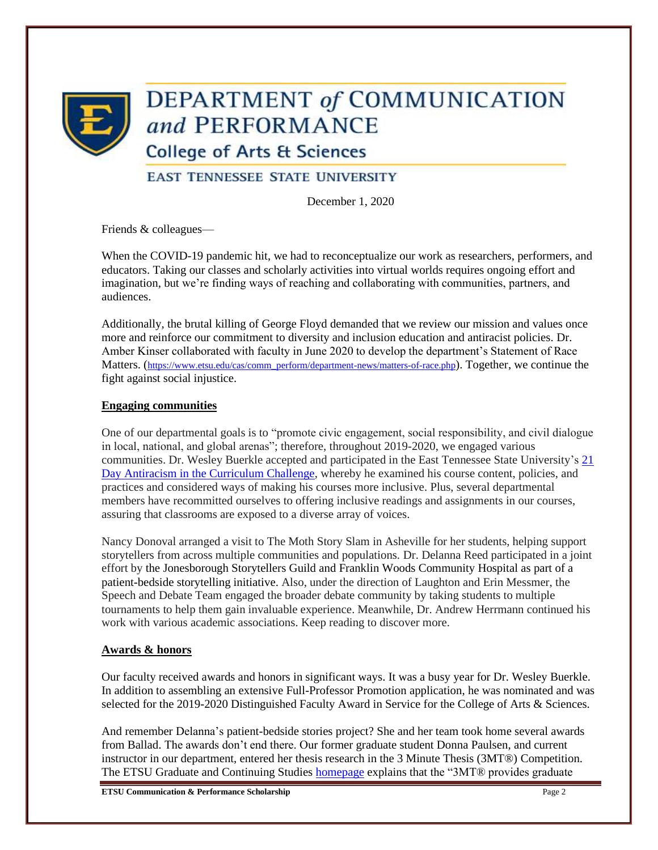

# **DEPARTMENT of COMMUNICATION** and PERFORMANCE

**College of Arts & Sciences** 

**EAST TENNESSEE STATE UNIVERSITY** 

December 1, 2020

Friends & colleagues—

When the COVID-19 pandemic hit, we had to reconceptualize our work as researchers, performers, and educators. Taking our classes and scholarly activities into virtual worlds requires ongoing effort and imagination, but we're finding ways of reaching and collaborating with communities, partners, and audiences.

Additionally, the brutal killing of George Floyd demanded that we review our mission and values once more and reinforce our commitment to diversity and inclusion education and antiracist policies. Dr. Amber Kinser collaborated with faculty in June 2020 to develop the department's Statement of Race Matters. ([https://www.etsu.edu/cas/comm\\_perform/department-news/matters-of-race.php](https://www.etsu.edu/cas/comm_perform/department-news/matters-of-race.php)). Together, we continue the fight against social injustice.

# **Engaging communities**

One of our departmental goals is to "promote civic engagement, social responsibility, and civil dialogue in local, national, and global arenas"; therefore, throughout 2019-2020, we engaged various communities. Dr. Wesley Buerkle accepted and participated in the East Tennessee State University's [21](https://www.etsu.edu/teaching/21daychallenge.php)  [Day Antiracism in the Curriculum Challenge,](https://www.etsu.edu/teaching/21daychallenge.php) whereby he examined his course content, policies, and practices and considered ways of making his courses more inclusive. Plus, several departmental members have recommitted ourselves to offering inclusive readings and assignments in our courses, assuring that classrooms are exposed to a diverse array of voices.

Nancy Donoval arranged a visit to The Moth Story Slam in Asheville for her students, helping support storytellers from across multiple communities and populations. Dr. Delanna Reed participated in a joint effort by the Jonesborough Storytellers Guild and Franklin Woods Community Hospital as part of a patient-bedside storytelling initiative. Also, under the direction of Laughton and Erin Messmer, the Speech and Debate Team engaged the broader debate community by taking students to multiple tournaments to help them gain invaluable experience. Meanwhile, Dr. Andrew Herrmann continued his work with various academic associations. Keep reading to discover more.

# **Awards & honors**

Our faculty received awards and honors in significant ways. It was a busy year for Dr. Wesley Buerkle. In addition to assembling an extensive Full-Professor Promotion application, he was nominated and was selected for the 2019-2020 Distinguished Faculty Award in Service for the College of Arts & Sciences.

And remember Delanna's patient-bedside stories project? She and her team took home several awards from Ballad. The awards don't end there. Our former graduate student Donna Paulsen, and current instructor in our department, entered her thesis research in the 3 Minute Thesis (3MT®) Competition. The ETSU Graduate and Continuing Studie[s homepage](https://www.etsu.edu/gradschool/etd/3minutethesis.php) explains that the "3MT® provides graduate"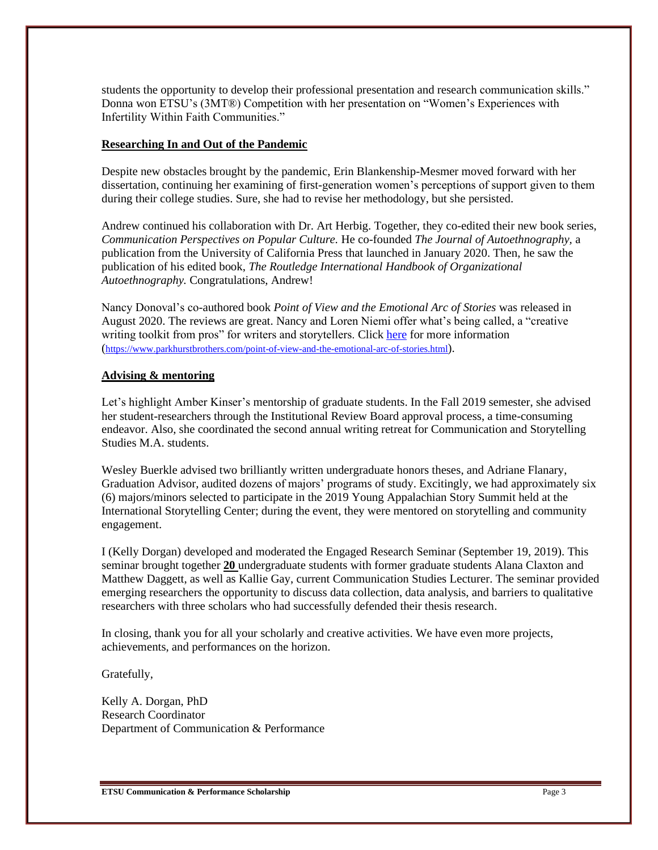students the opportunity to develop their professional presentation and research communication skills." Donna won ETSU's (3MT®) Competition with her presentation on "Women's Experiences with Infertility Within Faith Communities."

# **Researching In and Out of the Pandemic**

Despite new obstacles brought by the pandemic, Erin Blankenship-Mesmer moved forward with her dissertation, continuing her examining of first-generation women's perceptions of support given to them during their college studies. Sure, she had to revise her methodology, but she persisted.

Andrew continued his collaboration with Dr. Art Herbig. Together, they co-edited their new book series, *Communication Perspectives on Popular Culture.* He co-founded *The Journal of Autoethnography,* a publication from the University of California Press that launched in January 2020. Then, he saw the publication of his edited book, *The Routledge International Handbook of Organizational Autoethnography.* Congratulations, Andrew!

Nancy Donoval's co-authored book *Point of View and the Emotional Arc of Stories* was released in August 2020. The reviews are great. Nancy and Loren Niemi offer what's being called, a "creative writing toolkit from pros" for writers and storytellers. Click [here](https://www.parkhurstbrothers.com/point-of-view-and-the-emotional-arc-of-stories.html) for more information (<https://www.parkhurstbrothers.com/point-of-view-and-the-emotional-arc-of-stories.html>).

# **Advising & mentoring**

Let's highlight Amber Kinser's mentorship of graduate students. In the Fall 2019 semester, she advised her student-researchers through the Institutional Review Board approval process, a time-consuming endeavor. Also, she coordinated the second annual writing retreat for Communication and Storytelling Studies M.A. students.

Wesley Buerkle advised two brilliantly written undergraduate honors theses, and Adriane Flanary, Graduation Advisor, audited dozens of majors' programs of study. Excitingly, we had approximately six (6) majors/minors selected to participate in the 2019 Young Appalachian Story Summit held at the International Storytelling Center; during the event, they were mentored on storytelling and community engagement.

I (Kelly Dorgan) developed and moderated the Engaged Research Seminar (September 19, 2019). This seminar brought together **20** undergraduate students with former graduate students Alana Claxton and Matthew Daggett, as well as Kallie Gay, current Communication Studies Lecturer. The seminar provided emerging researchers the opportunity to discuss data collection, data analysis, and barriers to qualitative researchers with three scholars who had successfully defended their thesis research.

In closing, thank you for all your scholarly and creative activities. We have even more projects, achievements, and performances on the horizon.

Gratefully,

Kelly A. Dorgan, PhD Research Coordinator Department of Communication & Performance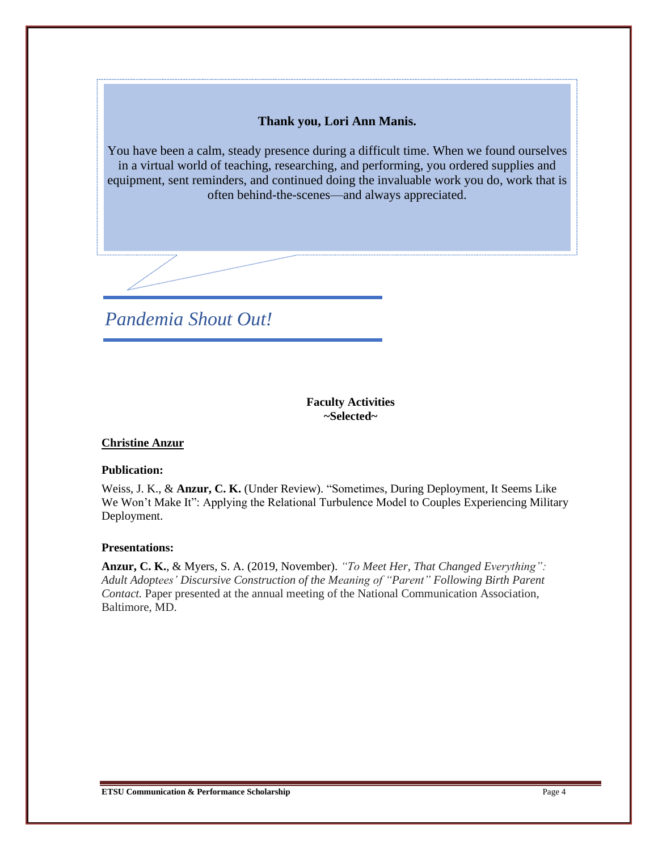# **Thank you, Lori Ann Manis.**

You have been a calm, steady presence during a difficult time. When we found ourselves in a virtual world of teaching, researching, and performing, you ordered supplies and equipment, sent reminders, and continued doing the invaluable work you do, work that is often behind-the-scenes—and always appreciated.

*Pandemia Shout Out!*

**Faculty Activities ~Selected~**

# **Christine Anzur**

#### **Publication:**

Weiss, J. K., & **Anzur, C. K.** (Under Review). "Sometimes, During Deployment, It Seems Like We Won't Make It": Applying the Relational Turbulence Model to Couples Experiencing Military Deployment.

#### **Presentations:**

**Anzur, C. K.**, & Myers, S. A. (2019, November). *"To Meet Her, That Changed Everything": Adult Adoptees' Discursive Construction of the Meaning of "Parent" Following Birth Parent Contact.* Paper presented at the annual meeting of the National Communication Association, Baltimore, MD.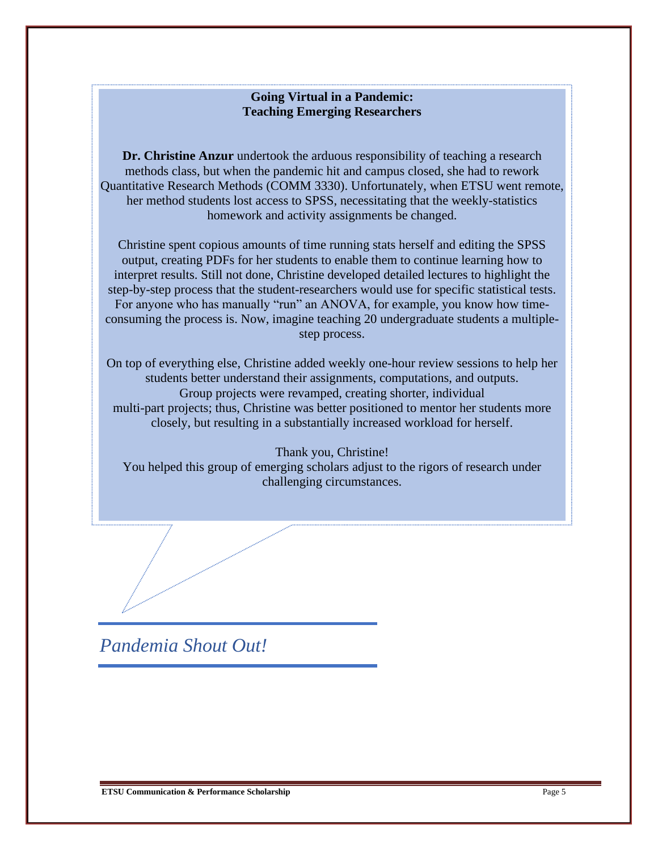# **Going Virtual in a Pandemic: Teaching Emerging Researchers**

**Dr. Christine Anzur** undertook the arduous responsibility of teaching a research methods class, but when the pandemic hit and campus closed, she had to rework Quantitative Research Methods (COMM 3330). Unfortunately, when ETSU went remote, her method students lost access to SPSS, necessitating that the weekly-statistics homework and activity assignments be changed.

Christine spent copious amounts of time running stats herself and editing the SPSS output, creating PDFs for her students to enable them to continue learning how to interpret results. Still not done, Christine developed detailed lectures to highlight the step-by-step process that the student-researchers would use for specific statistical tests. For anyone who has manually "run" an ANOVA, for example, you know how timeconsuming the process is. Now, imagine teaching 20 undergraduate students a multiplestep process.

On top of everything else, Christine added weekly one-hour review sessions to help her students better understand their assignments, computations, and outputs. Group projects were revamped, creating shorter, individual multi-part projects; thus, Christine was better positioned to mentor her students more closely, but resulting in a substantially increased workload for herself.

Thank you, Christine! You helped this group of emerging scholars adjust to the rigors of research under challenging circumstances.

*Pandemia Shout Out!*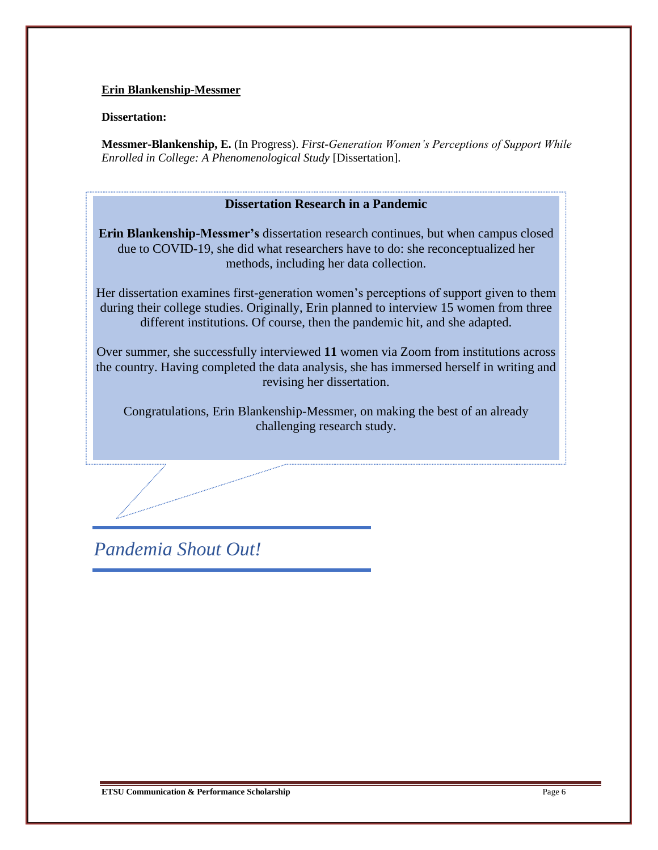# **Erin Blankenship-Messmer**

# **Dissertation:**

**Messmer-Blankenship, E.** (In Progress). *First-Generation Women's Perceptions of Support While Enrolled in College: A Phenomenological Study* [Dissertation].

# **Dissertation Research in a Pandemic**

**Erin Blankenship-Messmer's** dissertation research continues, but when campus closed due to COVID-19, she did what researchers have to do: she reconceptualized her methods, including her data collection.

Her dissertation examines first-generation women's perceptions of support given to them during their college studies. Originally, Erin planned to interview 15 women from three different institutions. Of course, then the pandemic hit, and she adapted.

Over summer, she successfully interviewed **11** women via Zoom from institutions across the country. Having completed the data analysis, she has immersed herself in writing and revising her dissertation.

Congratulations, Erin Blankenship-Messmer, on making the best of an already challenging research study.

*Pandemia Shout Out!*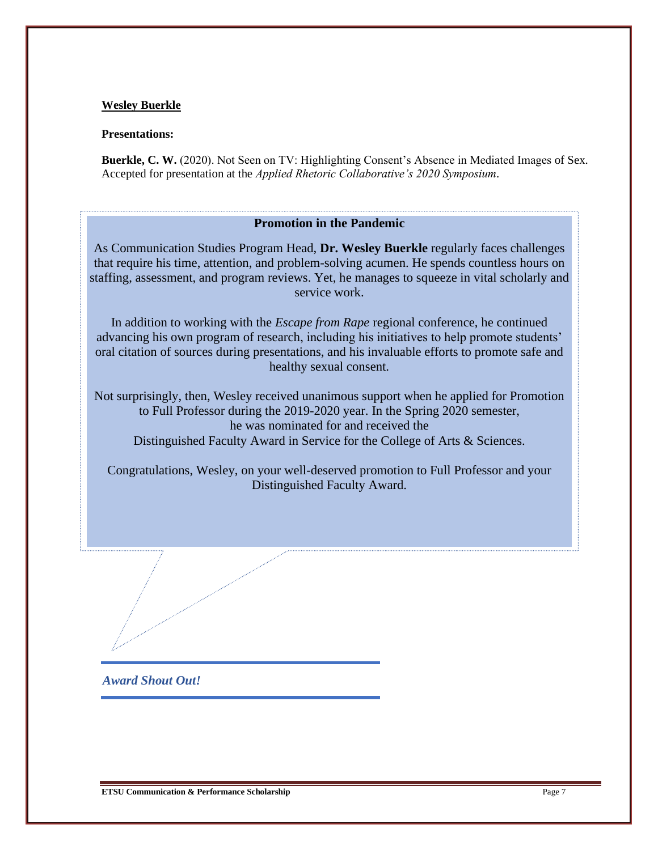# **Wesley Buerkle**

#### **Presentations:**

**Buerkle, C. W.** (2020). Not Seen on TV: Highlighting Consent's Absence in Mediated Images of Sex. Accepted for presentation at the *Applied Rhetoric Collaborative's 2020 Symposium*.

# **Promotion in the Pandemic**

As Communication Studies Program Head, **Dr. Wesley Buerkle** regularly faces challenges that require his time, attention, and problem-solving acumen. He spends countless hours on staffing, assessment, and program reviews. Yet, he manages to squeeze in vital scholarly and service work.

In addition to working with the *Escape from Rape* regional conference, he continued advancing his own program of research, including his initiatives to help promote students' oral citation of sources during presentations, and his invaluable efforts to promote safe and healthy sexual consent.

Not surprisingly, then, Wesley received unanimous support when he applied for Promotion to Full Professor during the 2019-2020 year. In the Spring 2020 semester, he was nominated for and received the Distinguished Faculty Award in Service for the College of Arts & Sciences.

Congratulations, Wesley, on your well-deserved promotion to Full Professor and your Distinguished Faculty Award.

*Award Shout Out!*

**ETSU Communication & Performance Scholarship** Page 7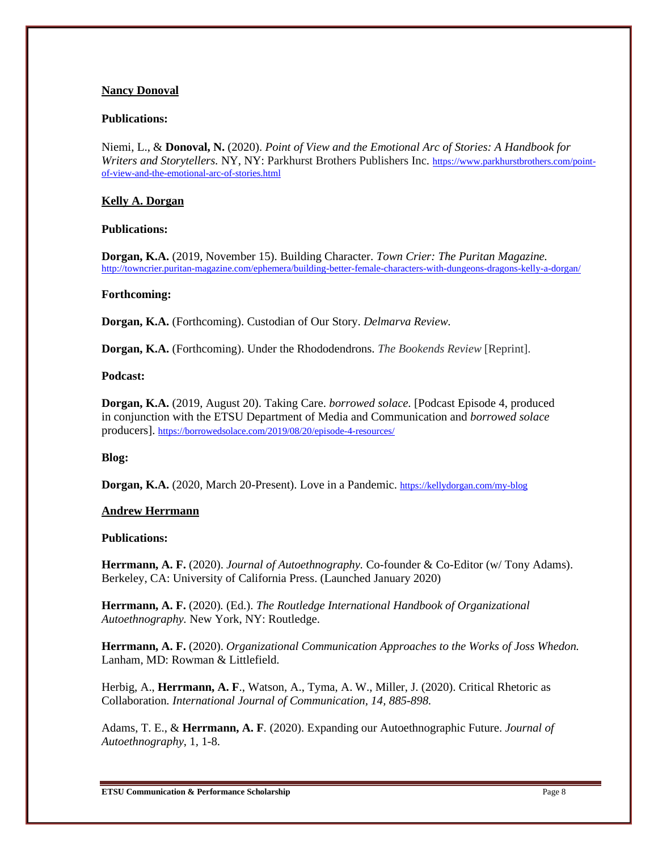# **Nancy Donoval**

## **Publications:**

Niemi, L., & **Donoval, N.** (2020). *Point of View and the Emotional Arc of Stories: A Handbook for Writers and Storytellers.* NY, NY: Parkhurst Brothers Publishers Inc*.* [https://www.parkhurstbrothers.com/point](https://www.parkhurstbrothers.com/point-of-view-and-the-emotional-arc-of-stories.html)[of-view-and-the-emotional-arc-of-stories.html](https://www.parkhurstbrothers.com/point-of-view-and-the-emotional-arc-of-stories.html)

# **Kelly A. Dorgan**

## **Publications:**

**Dorgan, K.A.** (2019, November 15). Building Character. *Town Crier: The Puritan Magazine.*  <http://towncrier.puritan-magazine.com/ephemera/building-better-female-characters-with-dungeons-dragons-kelly-a-dorgan/>

## **Forthcoming:**

**Dorgan, K.A.** (Forthcoming). Custodian of Our Story. *Delmarva Review.*

**Dorgan, K.A.** (Forthcoming). Under the Rhododendrons. *The Bookends Review* [Reprint].

## **Podcast:**

**Dorgan, K.A.** (2019, August 20). Taking Care. *borrowed solace.* [Podcast Episode 4, produced in conjunction with the ETSU Department of Media and Communication and *borrowed solace*  producers]. <https://borrowedsolace.com/2019/08/20/episode-4-resources/>

# **Blog:**

**Dorgan, K.A.** (2020, March 20-Present). Love in a Pandemic. <https://kellydorgan.com/my-blog>

# **Andrew Herrmann**

#### **Publications:**

**Herrmann, A. F.** (2020). *Journal of Autoethnography.* Co-founder & Co-Editor (w/ Tony Adams). Berkeley, CA: University of California Press. (Launched January 2020)

**Herrmann, A. F.** (2020)*.* (Ed.). *The Routledge International Handbook of Organizational Autoethnography.* New York, NY: Routledge.

**Herrmann, A. F.** (2020). *Organizational Communication Approaches to the Works of Joss Whedon.* Lanham, MD: Rowman & Littlefield.

Herbig, A., **Herrmann, A. F**., Watson, A., Tyma, A. W., Miller, J. (2020). Critical Rhetoric as Collaboration*. International Journal of Communication, 14, 885-898.*

Adams, T. E., & **Herrmann, A. F***.* (2020). Expanding our Autoethnographic Future. *Journal of Autoethnography*, 1*,* 1-8.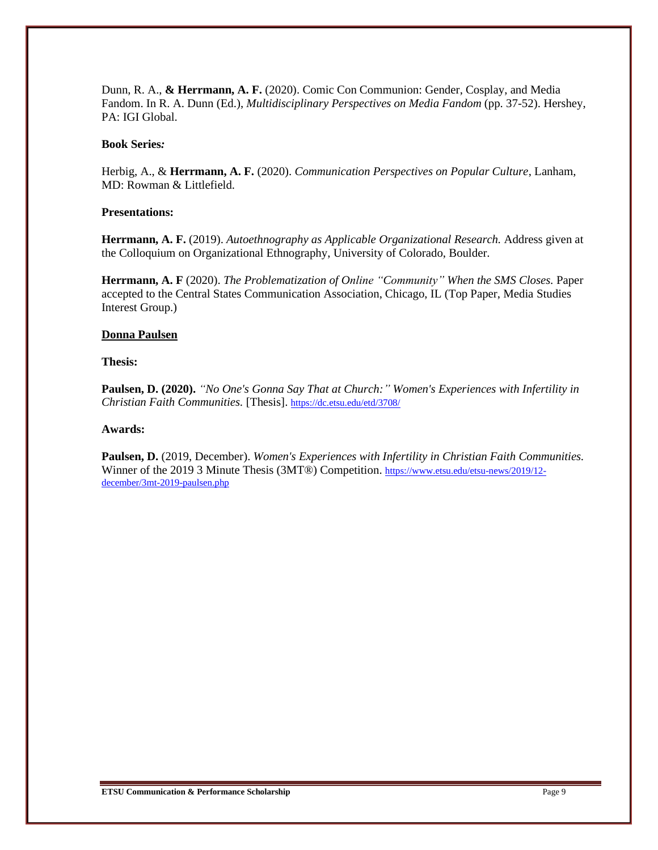Dunn, R. A., **& Herrmann, A. F.** (2020). Comic Con Communion: Gender, Cosplay, and Media Fandom. In R. A. Dunn (Ed.), *Multidisciplinary Perspectives on Media Fandom* (pp. 37-52). Hershey, PA: IGI Global.

#### **Book Series***:*

Herbig, A., & **Herrmann, A. F.** (2020). *Communication Perspectives on Popular Culture*, Lanham, MD: Rowman & Littlefield.

#### **Presentations:**

**Herrmann, A. F.** (2019). *Autoethnography as Applicable Organizational Research.* Address given at the Colloquium on Organizational Ethnography, University of Colorado, Boulder.

**Herrmann, A. F** (2020). *The Problematization of Online "Community" When the SMS Closes.* Paper accepted to the Central States Communication Association, Chicago, IL (Top Paper, Media Studies Interest Group.)

#### **Donna Paulsen**

# **Thesis:**

**Paulsen, D. (2020).** *"No One's Gonna Say That at Church:" Women's Experiences with Infertility in Christian Faith Communities.* [Thesis]. <https://dc.etsu.edu/etd/3708/>

#### **Awards:**

**Paulsen, D.** (2019, December). *Women's Experiences with Infertility in Christian Faith Communities.* Winner of the 2019 3 Minute Thesis (3MT®) Competition. [https://www.etsu.edu/etsu-news/2019/12](https://www.etsu.edu/etsu-news/2019/12-december/3mt-2019-paulsen.php) [december/3mt-2019-paulsen.php](https://www.etsu.edu/etsu-news/2019/12-december/3mt-2019-paulsen.php)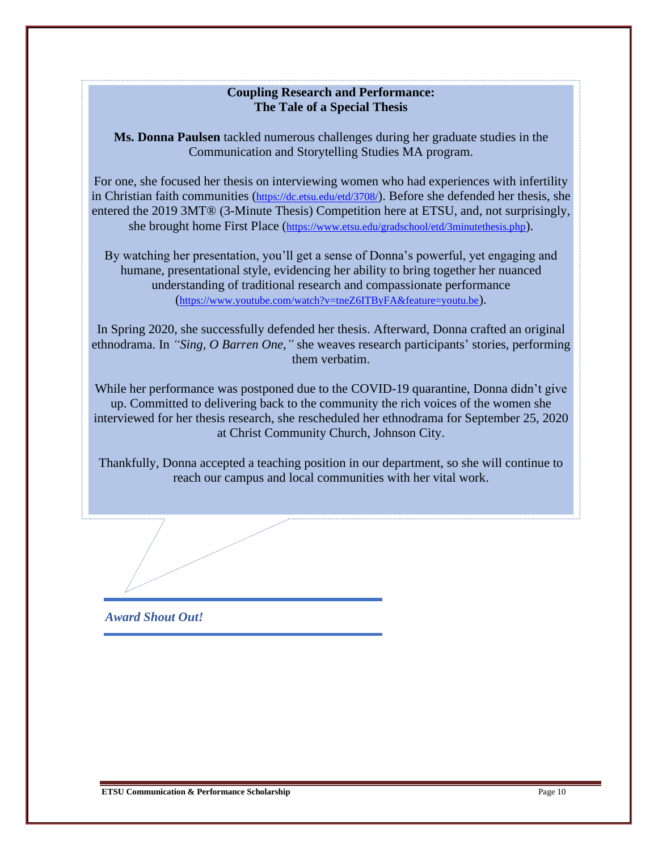# **Coupling Research and Performance: The Tale of a Special Thesis**

**Ms. Donna Paulsen** tackled numerous challenges during her graduate studies in the Communication and Storytelling Studies MA program.

For one, she focused her thesis on interviewing women who had experiences with infertility in Christian faith communities (<https://dc.etsu.edu/etd/3708/>). Before she defended her thesis, she entered the 2019 3MT® (3-Minute Thesis) Competition here at ETSU, and, not surprisingly, she brought home First Place (<https://www.etsu.edu/gradschool/etd/3minutethesis.php>).

By watching her presentation, you'll get a sense of Donna's powerful, yet engaging and humane, presentational style, evidencing her ability to bring together her nuanced understanding of traditional research and compassionate performance (<https://www.youtube.com/watch?v=tneZ6ITByFA&feature=youtu.be>).

In Spring 2020, she successfully defended her thesis. Afterward, Donna crafted an original ethnodrama. In *"Sing, O Barren One,"* she weaves research participants' stories, performing them verbatim.

While her performance was postponed due to the COVID-19 quarantine, Donna didn't give up. Committed to delivering back to the community the rich voices of the women she interviewed for her thesis research, she rescheduled her ethnodrama for September 25, 2020 at Christ Community Church, Johnson City.

Thankfully, Donna accepted a teaching position in our department, so she will continue to reach our campus and local communities with her vital work.

*Award Shout Out!*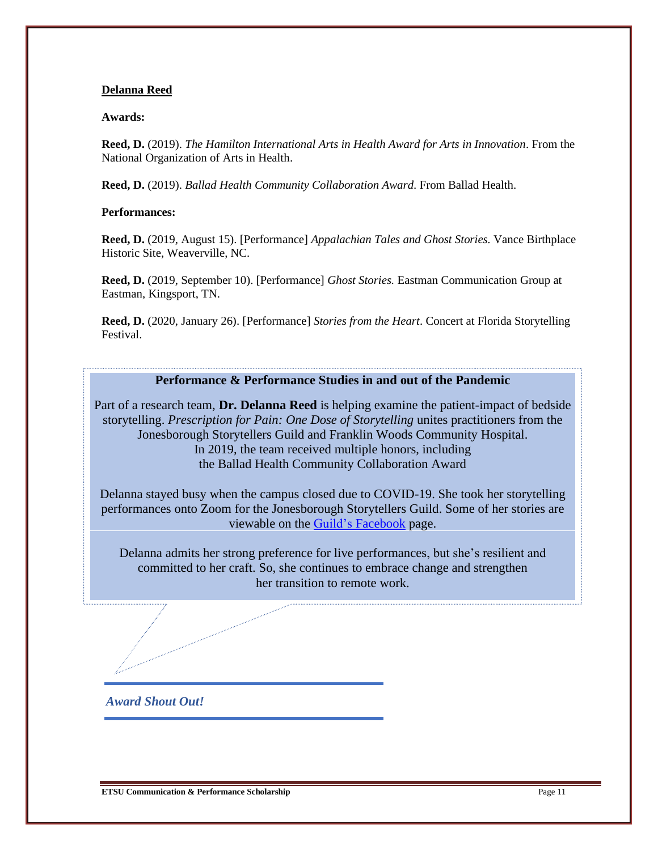#### **Delanna Reed**

# **Awards:**

**Reed, D.** (2019). *The Hamilton International Arts in Health Award for Arts in Innovation*. From the National Organization of Arts in Health.

**Reed, D.** (2019). *Ballad Health Community Collaboration Award*. From Ballad Health.

#### **Performances:**

**Reed, D.** (2019, August 15). [Performance] *Appalachian Tales and Ghost Stories.* Vance Birthplace Historic Site, Weaverville, NC.

**Reed, D.** (2019, September 10). [Performance] *Ghost Stories.* Eastman Communication Group at Eastman, Kingsport, TN.

**Reed, D.** (2020, January 26). [Performance] *Stories from the Heart*. Concert at Florida Storytelling Festival.

# **Performance & Performance Studies in and out of the Pandemic**

Part of a research team, **Dr. Delanna Reed** is helping examine the patient-impact of bedside storytelling. *Prescription for Pain: One Dose of Storytelling* unites practitioners from the Jonesborough Storytellers Guild and Franklin Woods Community Hospital. In 2019, the team received multiple honors, including the Ballad Health Community Collaboration Award

Delanna stayed busy when the campus closed due to COVID-19. She took her storytelling performances onto Zoom for the Jonesborough Storytellers Guild. Some of her stories are viewable on the [Guild's Facebook](https://www.facebook.com/JonesboroughStorytellersGuild/) page.

Delanna admits her strong preference for live performances, but she's resilient and committed to her craft. So, she continues to embrace change and strengthen her transition to remote work.

*Award Shout Out!*

**ETSU Communication & Performance Scholarship Page 11 Page 11 Page 11**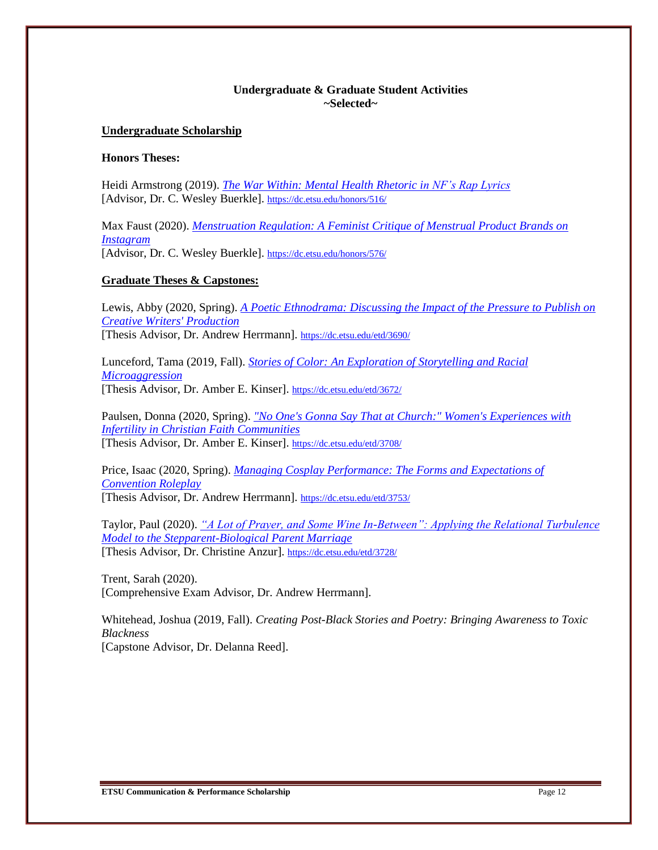# **Undergraduate & Graduate Student Activities ~Selected~**

#### **Undergraduate Scholarship**

#### **Honors Theses:**

Heidi Armstrong (2019). *[The War Within: Mental Health Rhetoric in NF's Rap Lyrics](https://dc.etsu.edu/honors/516/)* [Advisor, Dr. C. Wesley Buerkle]. <https://dc.etsu.edu/honors/516/>

Max Faust (2020). *[Menstruation Regulation: A Feminist Critique of Menstrual Product Brands on](https://dc.etsu.edu/honors/576/)  [Instagram](https://dc.etsu.edu/honors/576/)* [Advisor, Dr. C. Wesley Buerkle]. <https://dc.etsu.edu/honors/576/>

## **Graduate Theses & Capstones:**

Lewis, Abby (2020, Spring). *[A Poetic Ethnodrama: Discussing the Impact of the Pressure to Publish on](https://dc.etsu.edu/etd/3690/) [Creative Writers' Production](https://dc.etsu.edu/etd/3690/)* [Thesis Advisor, Dr. Andrew Herrmann]. <https://dc.etsu.edu/etd/3690/>

Lunceford, Tama (2019, Fall). *Stories of Color: An [Exploration](https://dc.etsu.edu/etd/3672/) of Storytelling and Racial [Microaggression](https://dc.etsu.edu/etd/3672/)* [Thesis Advisor, Dr. Amber E. Kinser]. <https://dc.etsu.edu/etd/3672/>

Paulsen, Donna (2020, Spring). *["No One's Gonna Say That at Church:" Women's Experiences with](https://dc.etsu.edu/etd/3708/)  [Infertility in Christian Faith Communities](https://dc.etsu.edu/etd/3708/)* [Thesis Advisor, Dr. Amber E. Kinser]. <https://dc.etsu.edu/etd/3708/>

Price, Isaac (2020, Spring). *[Managing Cosplay Performance: The Forms and Expectations of](https://dc.etsu.edu/etd/3753/)  [Convention Roleplay](https://dc.etsu.edu/etd/3753/)* [Thesis Advisor, Dr. Andrew Herrmann]. <https://dc.etsu.edu/etd/3753/>

Taylor, Paul (2020). *["A Lot of Prayer, and Some Wine In-Between": Applying the Relational Turbulence](https://dc.etsu.edu/etd/3728/)  [Model to the Stepparent-Biological Parent Marriage](https://dc.etsu.edu/etd/3728/)* [Thesis Advisor, Dr. Christine Anzur]. <https://dc.etsu.edu/etd/3728/>

Trent, Sarah (2020). [Comprehensive Exam Advisor, Dr. Andrew Herrmann].

Whitehead, Joshua (2019, Fall). *Creating Post-Black Stories and Poetry: Bringing Awareness to Toxic Blackness* [Capstone Advisor, Dr. Delanna Reed].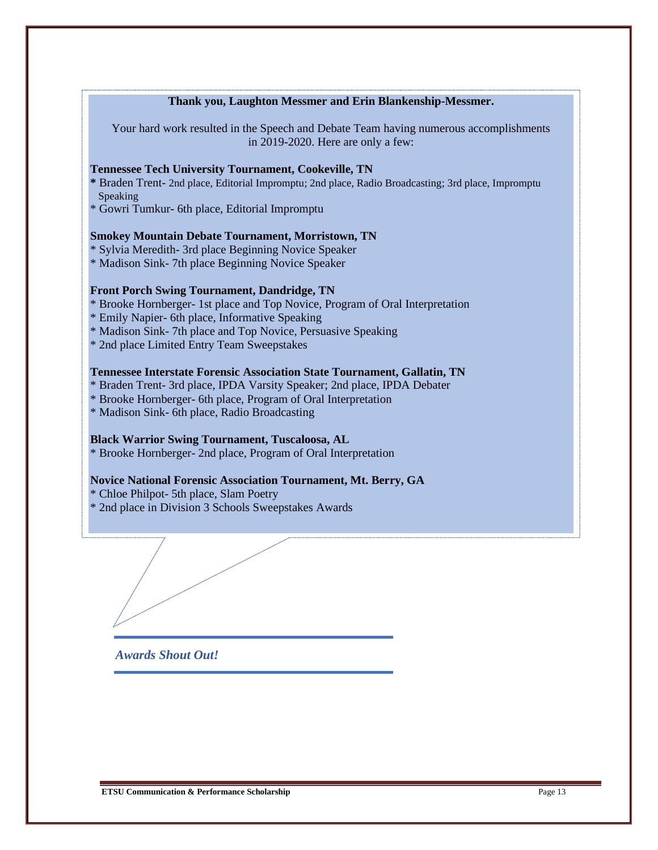## **Thank you, Laughton Messmer and Erin Blankenship-Messmer.**

Your hard work resulted in the Speech and Debate Team having numerous accomplishments in 2019-2020. Here are only a few:

#### **Tennessee Tech University Tournament, Cookeville, TN**

**\*** Braden Trent- 2nd place, Editorial Impromptu; 2nd place, Radio Broadcasting; 3rd place, Impromptu Speaking

\* Gowri Tumkur- 6th place, Editorial Impromptu

# **Smokey Mountain Debate Tournament, Morristown, TN**

- \* Sylvia Meredith- 3rd place Beginning Novice Speaker
- \* Madison Sink- 7th place Beginning Novice Speaker

#### **Front Porch Swing Tournament, Dandridge, TN**

- \* Brooke Hornberger- 1st place and Top Novice, Program of Oral Interpretation
- \* Emily Napier- 6th place, Informative Speaking
- \* Madison Sink- 7th place and Top Novice, Persuasive Speaking
- \* 2nd place Limited Entry Team Sweepstakes

# **Tennessee Interstate Forensic Association State Tournament, Gallatin, TN**

- \* Braden Trent- 3rd place, IPDA Varsity Speaker; 2nd place, IPDA Debater
- \* Brooke Hornberger- 6th place, Program of Oral Interpretation
- \* Madison Sink- 6th place, Radio Broadcasting

# **Black Warrior Swing Tournament, Tuscaloosa, AL**

\* Brooke Hornberger- 2nd place, Program of Oral Interpretation

#### **Novice National Forensic Association Tournament, Mt. Berry, GA**

\* Chloe Philpot- 5th place, Slam Poetry

\* 2nd place in Division 3 Schools Sweepstakes Awards

*Awards Shout Out!*

**ETSU Communication & Performance Scholarship Page 13 Page 13**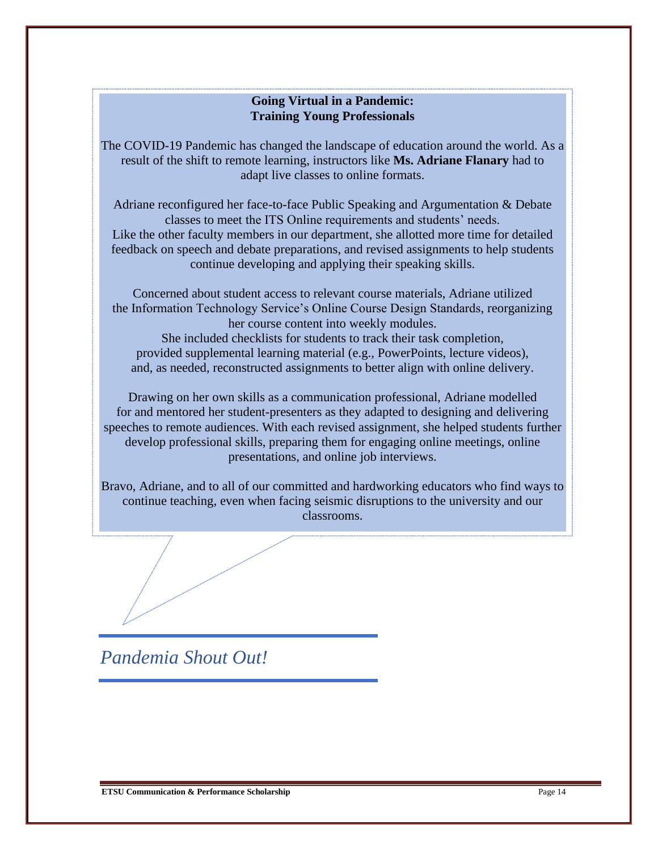# **Going Virtual in a Pandemic: Training Young Professionals**

The COVID-19 Pandemic has changed the landscape of education around the world. As a result of the shift to remote learning, instructors like **Ms. Adriane Flanary** had to adapt live classes to online formats.

Adriane reconfigured her face-to-face Public Speaking and Argumentation & Debate classes to meet the ITS Online requirements and students' needs. Like the other faculty members in our department, she allotted more time for detailed feedback on speech and debate preparations, and revised assignments to help students continue developing and applying their speaking skills.

Concerned about student access to relevant course materials, Adriane utilized the Information Technology Service's Online Course Design Standards, reorganizing her course content into weekly modules.

She included checklists for students to track their task completion, provided supplemental learning material (e.g., PowerPoints, lecture videos), and, as needed, reconstructed assignments to better align with online delivery.

Drawing on her own skills as a communication professional, Adriane modelled for and mentored her student-presenters as they adapted to designing and delivering speeches to remote audiences. With each revised assignment, she helped students further develop professional skills, preparing them for engaging online meetings, online presentations, and online job interviews.

Bravo, Adriane, and to all of our committed and hardworking educators who find ways to continue teaching, even when facing seismic disruptions to the university and our classrooms.

*Pandemia Shout Out!*

**ETSU Communication & Performance Scholarship Page 14 Page 14 Page 14 Page 14**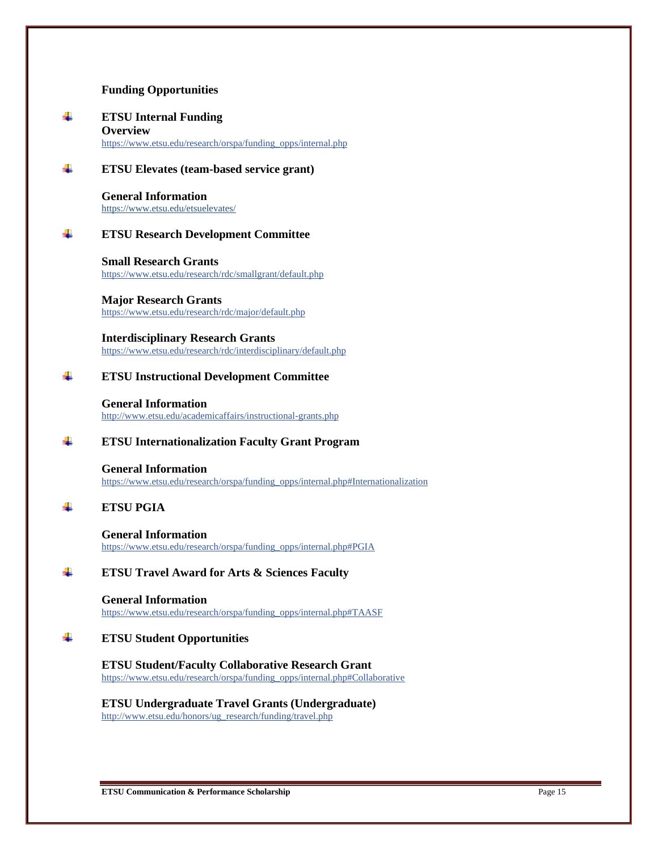#### **Funding Opportunities**

- ÷. **ETSU Internal Funding Overview** [https://www.etsu.edu/research/orspa/funding\\_opps/internal.php](https://www.etsu.edu/research/orspa/funding_opps/internal.php)
- 4 **ETSU Elevates (team-based service grant)**

**General Information** <https://www.etsu.edu/etsuelevates/>

#### 4. **ETSU Research Development Committee**

**Small Research Grants** <https://www.etsu.edu/research/rdc/smallgrant/default.php>

**Major Research Grants** <https://www.etsu.edu/research/rdc/major/default.php>

**Interdisciplinary Research Grants** <https://www.etsu.edu/research/rdc/interdisciplinary/default.php>

#### 4 **ETSU Instructional Development Committee**

**General Information** <http://www.etsu.edu/academicaffairs/instructional-grants.php>

#### 4 **ETSU Internationalization Faculty Grant Program**

**General Information** [https://www.etsu.edu/research/orspa/funding\\_opps/internal.php#Internationalization](https://www.etsu.edu/research/orspa/funding_opps/internal.php#Internationalization)

#### 4. **ETSU PGIA**

**General Information** [https://www.etsu.edu/research/orspa/funding\\_opps/internal.php#PGIA](https://www.etsu.edu/research/orspa/funding_opps/internal.php#PGIA)

#### 4. **ETSU Travel Award for Arts & Sciences Faculty**

**General Information** [https://www.etsu.edu/research/orspa/funding\\_opps/internal.php#TAASF](https://www.etsu.edu/research/orspa/funding_opps/internal.php#TAASF)

#### d. **ETSU Student Opportunities**

**ETSU Student/Faculty Collaborative Research Grant** [https://www.etsu.edu/research/orspa/funding\\_opps/internal.php#Collaborative](https://www.etsu.edu/research/orspa/funding_opps/internal.php#Collaborative)

**ETSU Undergraduate Travel Grants (Undergraduate)** [http://www.etsu.edu/honors/ug\\_research/funding/travel.php](http://www.etsu.edu/honors/ug_research/funding/travel.php)